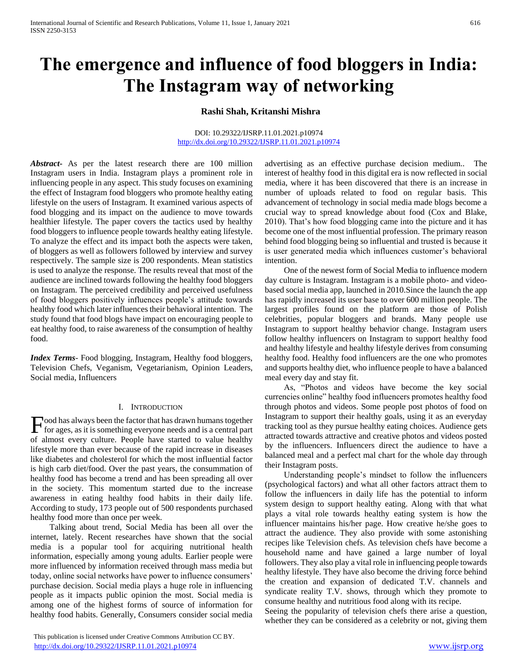# **The emergence and influence of food bloggers in India: The Instagram way of networking**

**Rashi Shah, Kritanshi Mishra**

#### DOI: 10.29322/IJSRP.11.01.2021.p10974 <http://dx.doi.org/10.29322/IJSRP.11.01.2021.p10974>

*Abstract***-** As per the latest research there are 100 million Instagram users in India. Instagram plays a prominent role in influencing people in any aspect. This study focuses on examining the effect of Instagram food bloggers who promote healthy eating lifestyle on the users of Instagram. It examined various aspects of food blogging and its impact on the audience to move towards healthier lifestyle. The paper covers the tactics used by healthy food bloggers to influence people towards healthy eating lifestyle. To analyze the effect and its impact both the aspects were taken, of bloggers as well as followers followed by interview and survey respectively. The sample size is 200 respondents. Mean statistics is used to analyze the response. The results reveal that most of the audience are inclined towards following the healthy food bloggers on Instagram. The perceived credibility and perceived usefulness of food bloggers positively influences people's attitude towards healthy food which later influences their behavioral intention. The study found that food blogs have impact on encouraging people to eat healthy food, to raise awareness of the consumption of healthy food.

*Index Terms*- Food blogging, Instagram, Healthy food bloggers, Television Chefs, Veganism, Vegetarianism, Opinion Leaders, Social media, Influencers

#### I. INTRODUCTION

ood has always been the factor that has drawn humans together Food has always been the factor that has drawn humans together<br>for ages, as it is something everyone needs and is a central part of almost every culture. People have started to value healthy lifestyle more than ever because of the rapid increase in diseases like diabetes and cholesterol for which the most influential factor is high carb diet/food. Over the past years, the consummation of healthy food has become a trend and has been spreading all over in the society. This momentum started due to the increase awareness in eating healthy food habits in their daily life. According to study, 173 people out of 500 respondents purchased healthy food more than once per week.

 Talking about trend, Social Media has been all over the internet, lately. Recent researches have shown that the social media is a popular tool for acquiring nutritional health information, especially among young adults. Earlier people were more influenced by information received through mass media but today, online social networks have power to influence consumers' purchase decision. Social media plays a huge role in influencing people as it impacts public opinion the most. Social media is among one of the highest forms of source of information for healthy food habits. Generally, Consumers consider social media

 This publication is licensed under Creative Commons Attribution CC BY. <http://dx.doi.org/10.29322/IJSRP.11.01.2021.p10974> [www.ijsrp.org](http://ijsrp.org/)

advertising as an effective purchase decision medium.. The interest of healthy food in this digital era is now reflected in social media, where it has been discovered that there is an increase in number of uploads related to food on regular basis. This advancement of technology in social media made blogs become a crucial way to spread knowledge about food (Cox and Blake, 2010). That's how food blogging came into the picture and it has become one of the most influential profession. The primary reason behind food blogging being so influential and trusted is because it is user generated media which influences customer's behavioral intention.

 One of the newest form of Social Media to influence modern day culture is Instagram. Instagram is a mobile photo- and videobased social media app, launched in 2010.Since the launch the app has rapidly increased its user base to over 600 million people. The largest profiles found on the platform are those of Polish celebrities, popular bloggers and brands. Many people use Instagram to support healthy behavior change. Instagram users follow healthy influencers on Instagram to support healthy food and healthy lifestyle and healthy lifestyle derives from consuming healthy food. Healthy food influencers are the one who promotes and supports healthy diet, who influence people to have a balanced meal every day and stay fit.

 As, "Photos and videos have become the key social currencies online" healthy food influencers promotes healthy food through photos and videos. Some people post photos of food on Instagram to support their healthy goals, using it as an everyday tracking tool as they pursue healthy eating choices. Audience gets attracted towards attractive and creative photos and videos posted by the influencers. Influencers direct the audience to have a balanced meal and a perfect mal chart for the whole day through their Instagram posts.

 Understanding people's mindset to follow the influencers (psychological factors) and what all other factors attract them to follow the influencers in daily life has the potential to inform system design to support healthy eating. Along with that what plays a vital role towards healthy eating system is how the influencer maintains his/her page. How creative he/she goes to attract the audience. They also provide with some astonishing recipes like Television chefs. As television chefs have become a household name and have gained a large number of loyal followers. They also play a vital role in influencing people towards healthy lifestyle. They have also become the driving force behind the creation and expansion of dedicated T.V. channels and syndicate reality T.V. shows, through which they promote to consume healthy and nutritious food along with its recipe.

Seeing the popularity of television chefs there arise a question, whether they can be considered as a celebrity or not, giving them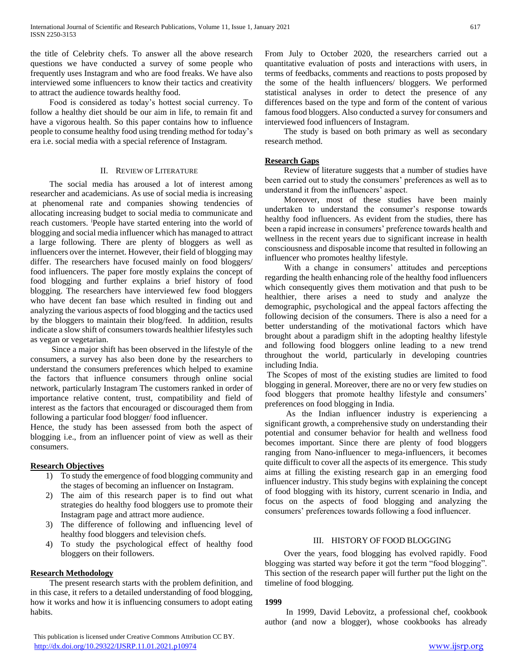the title of Celebrity chefs. To answer all the above research questions we have conducted a survey of some people who frequently uses Instagram and who are food freaks. We have also interviewed some influencers to know their tactics and creativity to attract the audience towards healthy food.

 Food is considered as today's hottest social currency. To follow a healthy diet should be our aim in life, to remain fit and have a vigorous health. So this paper contains how to influence people to consume healthy food using trending method for today's era i.e. social media with a special reference of Instagram.

#### II. REVIEW OF LITERATURE

 The social media has aroused a lot of interest among researcher and academicians. As use of social media is increasing at phenomenal rate and companies showing tendencies of allocating increasing budget to social media to communicate and reach customers. <sup>i</sup>People have started entering into the world of blogging and social media influencer which has managed to attract a large following. There are plenty of bloggers as well as influencers over the internet. However, their field of blogging may differ. The researchers have focused mainly on food bloggers/ food influencers. The paper fore mostly explains the concept of food blogging and further explains a brief history of food blogging. The researchers have interviewed few food bloggers who have decent fan base which resulted in finding out and analyzing the various aspects of food blogging and the tactics used by the bloggers to maintain their blog/feed. In addition, results indicate a slow shift of consumers towards healthier lifestyles such as vegan or vegetarian.

 Since a major shift has been observed in the lifestyle of the consumers, a survey has also been done by the researchers to understand the consumers preferences which helped to examine the factors that influence consumers through online social network, particularly Instagram The customers ranked in order of importance relative content, trust, compatibility and field of interest as the factors that encouraged or discouraged them from following a particular food blogger/ food influencer.

Hence, the study has been assessed from both the aspect of blogging i.e., from an influencer point of view as well as their consumers.

#### **Research Objectives**

- 1) To study the emergence of food blogging community and the stages of becoming an influencer on Instagram.
- 2) The aim of this research paper is to find out what strategies do healthy food bloggers use to promote their Instagram page and attract more audience.
- 3) The difference of following and influencing level of healthy food bloggers and television chefs.
- 4) To study the psychological effect of healthy food bloggers on their followers.

#### **Research Methodology**

 The present research starts with the problem definition, and in this case, it refers to a detailed understanding of food blogging, how it works and how it is influencing consumers to adopt eating habits.

From July to October 2020, the researchers carried out a quantitative evaluation of posts and interactions with users, in terms of feedbacks, comments and reactions to posts proposed by the some of the health influencers/ bloggers. We performed statistical analyses in order to detect the presence of any differences based on the type and form of the content of various famous food bloggers. Also conducted a survey for consumers and interviewed food influencers of Instagram.

 The study is based on both primary as well as secondary research method.

#### **Research Gaps**

 Review of literature suggests that a number of studies have been carried out to study the consumers' preferences as well as to understand it from the influencers' aspect.

 Moreover, most of these studies have been mainly undertaken to understand the consumer's response towards healthy food influencers. As evident from the studies, there has been a rapid increase in consumers' preference towards health and wellness in the recent years due to significant increase in health consciousness and disposable income that resulted in following an influencer who promotes healthy lifestyle.

 With a change in consumers' attitudes and perceptions regarding the health enhancing role of the healthy food influencers which consequently gives them motivation and that push to be healthier, there arises a need to study and analyze the demographic, psychological and the appeal factors affecting the following decision of the consumers. There is also a need for a better understanding of the motivational factors which have brought about a paradigm shift in the adopting healthy lifestyle and following food bloggers online leading to a new trend throughout the world, particularly in developing countries including India.

The Scopes of most of the existing studies are limited to food blogging in general. Moreover, there are no or very few studies on food bloggers that promote healthy lifestyle and consumers' preferences on food blogging in India.

 As the Indian influencer industry is experiencing a significant growth, a comprehensive study on understanding their potential and consumer behavior for health and wellness food becomes important. Since there are plenty of food bloggers ranging from Nano-influencer to mega-influencers, it becomes quite difficult to cover all the aspects of its emergence. This study aims at filling the existing research gap in an emerging food influencer industry. This study begins with explaining the concept of food blogging with its history, current scenario in India, and focus on the aspects of food blogging and analyzing the consumers' preferences towards following a food influencer.

#### III. HISTORY OF FOOD BLOGGING

 Over the years, food blogging has evolved rapidly. Food blogging was started way before it got the term "food blogging". This section of the research paper will further put the light on the timeline of food blogging.

#### **1999**

 In 1999, David Lebovitz, a professional chef, cookbook author (and now a blogger), whose cookbooks has already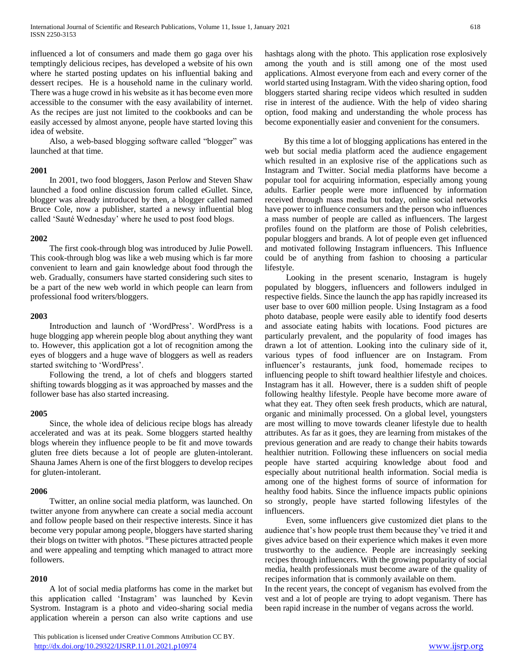influenced a lot of consumers and made them go gaga over his temptingly delicious recipes, has developed a website of his own where he started posting updates on his influential baking and dessert recipes. He is a household name in the culinary world. There was a huge crowd in his website as it has become even more accessible to the consumer with the easy availability of internet. As the recipes are just not limited to the cookbooks and can be easily accessed by almost anyone, people have started loving this idea of website.

 Also, a web-based blogging software called "blogger" was launched at that time.

#### **2001**

 In 2001, two food bloggers, Jason Perlow and Steven Shaw launched a food online discussion forum called eGullet. Since, blogger was already introduced by then, a blogger called named Bruce Cole, now a publisher, started a newsy influential blog called 'Sauté Wednesday' where he used to post food blogs.

#### **2002**

 The first cook-through blog was introduced by Julie Powell. This cook-through blog was like a web musing which is far more convenient to learn and gain knowledge about food through the web. Gradually, consumers have started considering such sites to be a part of the new web world in which people can learn from professional food writers/bloggers.

#### **2003**

 Introduction and launch of 'WordPress'. WordPress is a huge blogging app wherein people blog about anything they want to. However, this application got a lot of recognition among the eyes of bloggers and a huge wave of bloggers as well as readers started switching to 'WordPress'.

 Following the trend, a lot of chefs and bloggers started shifting towards blogging as it was approached by masses and the follower base has also started increasing.

#### **2005**

 Since, the whole idea of delicious recipe blogs has already accelerated and was at its peak. Some bloggers started healthy blogs wherein they influence people to be fit and move towards gluten free diets because a lot of people are gluten-intolerant. Shauna James Ahern is one of the first bloggers to develop recipes for gluten-intolerant.

#### **2006**

 Twitter, an online social media platform, was launched. On twitter anyone from anywhere can create a social media account and follow people based on their respective interests. Since it has become very popular among people, bloggers have started sharing their blogs on twitter with photos. iiThese pictures attracted people and were appealing and tempting which managed to attract more followers.

#### **2010**

 A lot of social media platforms has come in the market but this application called 'Instagram' was launched by Kevin Systrom. Instagram is a photo and video-sharing social media application wherein a person can also write captions and use

 This publication is licensed under Creative Commons Attribution CC BY. <http://dx.doi.org/10.29322/IJSRP.11.01.2021.p10974> [www.ijsrp.org](http://ijsrp.org/)

hashtags along with the photo. This application rose explosively among the youth and is still among one of the most used applications. Almost everyone from each and every corner of the world started using Instagram. With the video sharing option, food bloggers started sharing recipe videos which resulted in sudden rise in interest of the audience. With the help of video sharing option, food making and understanding the whole process has become exponentially easier and convenient for the consumers.

 By this time a lot of blogging applications has entered in the web but social media platform aced the audience engagement which resulted in an explosive rise of the applications such as Instagram and Twitter. Social media platforms have become a popular tool for acquiring information, especially among young adults. Earlier people were more influenced by information received through mass media but today, online social networks have power to influence consumers and the person who influences a mass number of people are called as influencers. The largest profiles found on the platform are those of Polish celebrities, popular bloggers and brands. A lot of people even get influenced and motivated following Instagram influencers. This Influence could be of anything from fashion to choosing a particular lifestyle.

 Looking in the present scenario, Instagram is hugely populated by bloggers, influencers and followers indulged in respective fields. Since the launch the app has rapidly increased its user base to over 600 million people. Using Instagram as a food photo database, people were easily able to identify food deserts and associate eating habits with locations. Food pictures are particularly prevalent, and the popularity of food images has drawn a lot of attention. Looking into the culinary side of it, various types of food influencer are on Instagram. From influencer's restaurants, junk food, homemade recipes to influencing people to shift toward healthier lifestyle and choices. Instagram has it all. However, there is a sudden shift of people following healthy lifestyle. People have become more aware of what they eat. They often seek fresh products, which are natural, organic and minimally processed. On a global level, youngsters are most willing to move towards cleaner lifestyle due to health attributes. As far as it goes, they are learning from mistakes of the previous generation and are ready to change their habits towards healthier nutrition. Following these influencers on social media people have started acquiring knowledge about food and especially about nutritional health information. Social media is among one of the highest forms of source of information for healthy food habits. Since the influence impacts public opinions so strongly, people have started following lifestyles of the influencers.

 Even, some influencers give customized diet plans to the audience that's how people trust them because they've tried it and gives advice based on their experience which makes it even more trustworthy to the audience. People are increasingly seeking recipes through influencers. With the growing popularity of social media, health professionals must become aware of the quality of recipes information that is commonly available on them.

In the recent years, the concept of veganism has evolved from the vest and a lot of people are trying to adopt veganism. There has been rapid increase in the number of vegans across the world.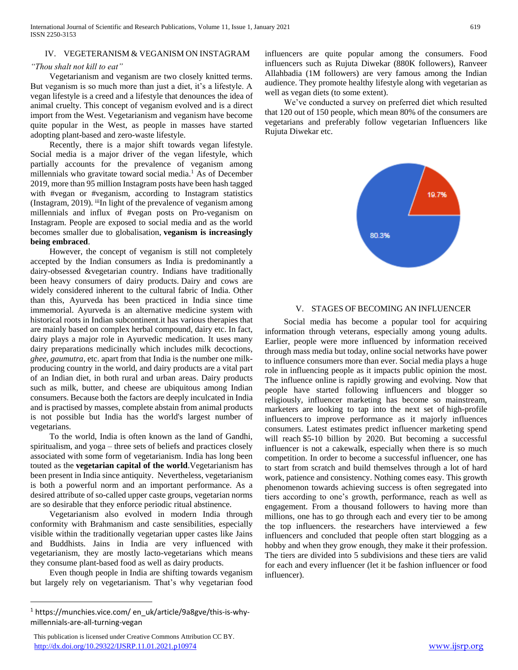#### IV. VEGETERANISM & VEGANISM ON INSTAGRAM

#### *"Thou shalt not kill to eat"*

 Vegetarianism and veganism are two closely knitted terms. But veganism is so much more than just a diet, it's a lifestyle. A vegan lifestyle is a creed and a lifestyle that denounces the idea of animal cruelty. This concept of veganism evolved and is a direct import from the West. Vegetarianism and veganism have become quite popular in the West, as people in masses have started adopting plant-based and zero-waste lifestyle.

 Recently, there is a major shift towards vegan lifestyle. Social media is a major driver of the vegan lifestyle, which partially accounts for the prevalence of veganism among millennials who gravitate toward social media.<sup>1</sup> As of December 2019, more than 95 million Instagram posts have been hash tagged with #vegan or #veganism, according to Instagram statistics (Instagram, 2019). iiiIn light of the prevalence of veganism among millennials and influx of #vegan posts on Pro-veganism on Instagram. People are exposed to social media and as the world becomes smaller due to globalisation, **veganism is increasingly being embraced**.

 However, the concept of veganism is still not completely accepted by the Indian consumers as India is predominantly a dairy-obsessed &vegetarian country. Indians have traditionally been heavy consumers of dairy products. Dairy and cows are widely considered inherent to the cultural fabric of India. Other than this, Ayurveda has been practiced in India since time immemorial. Ayurveda is an alternative medicine system with historical roots in Indian subcontinent.it has various therapies that are mainly based on complex herbal compound, dairy etc. In fact, dairy plays a major role in Ayurvedic medication. It uses many dairy preparations medicinally which includes milk decoctions, *ghee, gaumutra,* etc. apart from that India is the number one milkproducing country in the world, and dairy products are a vital part of an Indian diet, in both rural and urban areas. Dairy products such as milk, butter, and cheese are ubiquitous among Indian consumers. Because both the factors are deeply inculcated in India and is practised by masses, complete abstain from animal products is not possible but India has the world's largest number of vegetarians.

 To the world, India is often known as the land of Gandhi, spiritualism, and yoga – three sets of beliefs and practices closely associated with some form of vegetarianism. India has long been touted as the **vegetarian capital of the world**.Vegetarianism has been present in India since antiquity. Nevertheless, vegetarianism is both a powerful norm and an important performance. As a desired attribute of so-called upper caste groups, vegetarian norms are so desirable that they enforce periodic ritual abstinence.

 Vegetarianism also evolved in modern India through conformity with Brahmanism and caste sensibilities, especially visible within the traditionally vegetarian upper castes like Jains and Buddhists. Jains in India are very influenced with vegetarianism, they are mostly lacto-vegetarians which means they consume plant-based food as well as dairy products.

 Even though people in India are shifting towards veganism but largely rely on vegetarianism. That's why vegetarian food

 $\overline{a}$ 

 This publication is licensed under Creative Commons Attribution CC BY. <http://dx.doi.org/10.29322/IJSRP.11.01.2021.p10974> [www.ijsrp.org](http://ijsrp.org/)

influencers are quite popular among the consumers. Food influencers such as Rujuta Diwekar (880K followers), Ranveer Allahbadia (1M followers) are very famous among the Indian audience. They promote healthy lifestyle along with vegetarian as well as vegan diets (to some extent).

 We've conducted a survey on preferred diet which resulted that 120 out of 150 people, which mean 80% of the consumers are vegetarians and preferably follow vegetarian Influencers like Rujuta Diwekar etc.



#### V. STAGES OF BECOMING AN INFLUENCER

 Social media has become a popular tool for acquiring information through veterans, especially among young adults. Earlier, people were more influenced by information received through mass media but today, online social networks have power to influence consumers more than ever. Social media plays a huge role in influencing people as it impacts public opinion the most. The influence online is rapidly growing and evolving. Now that people have started following influencers and blogger so religiously, influencer marketing has become so mainstream, marketers are looking to tap into the next set of high-profile influencers to improve performance as it majorly influences consumers. Latest estimates predict influencer marketing spend will reach \$5-10 billion by 2020. But becoming a successful influencer is not a cakewalk, especially when there is so much competition. In order to become a successful influencer, one has to start from scratch and build themselves through a lot of hard work, patience and consistency. Nothing comes easy. This growth phenomenon towards achieving success is often segregated into tiers according to one's growth, performance, reach as well as engagement. From a thousand followers to having more than millions, one has to go through each and every tier to be among the top influencers. the researchers have interviewed a few influencers and concluded that people often start blogging as a hobby and when they grow enough, they make it their profession. The tiers are divided into 5 subdivisions and these tiers are valid for each and every influencer (let it be fashion influencer or food influencer).

<sup>1</sup> https://munchies.vice.com/ en\_uk/article/9a8gve/this-is-whymillennials-are-all-turning-vegan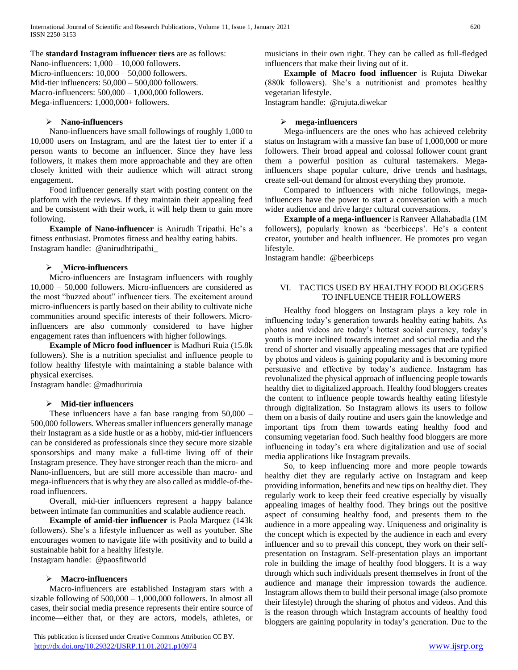#### The **standard Instagram influencer tiers** are as follows:

Nano-influencers:  $1,000 - 10,000$  followers. Micro-influencers:  $10,000 - 50,000$  followers. Mid-tier influencers:  $50,000 - 500,000$  followers. Macro-influencers: 500,000 – 1,000,000 followers. Mega-influencers: 1,000,000+ followers.

#### **Nano-influencers**

 Nano-influencers have small followings of roughly 1,000 to 10,000 users on Instagram, and are the latest tier to enter if a person wants to become an influencer. Since they have less followers, it makes them more approachable and they are often closely knitted with their audience which will attract strong engagement.

 Food influencer generally start with posting content on the platform with the reviews. If they maintain their appealing feed and be consistent with their work, it will help them to gain more following.

 **Example of Nano-influencer** is Anirudh Tripathi. He's a fitness enthusiast. Promotes fitness and healthy eating habits. Instagram handle: @anirudhtripathi\_

#### **Micro-influencers**

 Micro-influencers are Instagram influencers with roughly 10,000 – 50,000 followers. Micro-influencers are considered as the most "buzzed about" influencer tiers. The excitement around micro-influencers is partly based on their ability to cultivate niche communities around specific interests of their followers. Microinfluencers are also commonly considered to have higher engagement rates than influencers with higher followings.

 **Example of Micro food influencer** is Madhuri Ruia (15.8k followers). She is a nutrition specialist and influence people to follow healthy lifestyle with maintaining a stable balance with physical exercises.

Instagram handle: @madhuriruia

#### **Mid-tier influencers**

 These influencers have a fan base ranging from 50,000 – 500,000 followers. Whereas smaller influencers generally manage their Instagram as a side hustle or as a hobby, mid-tier influencers can be considered as professionals since they secure more sizable sponsorships and many make a full-time living off of their Instagram presence. They have stronger reach than the micro- and Nano-influencers, but are still more accessible than macro- and mega-influencers that is why they are also called as middle-of-theroad influencers.

 Overall, mid-tier influencers represent a happy balance between intimate fan communities and scalable audience reach.

 **Example of amid-tier influencer** is Paola Marquez (143k followers). She's a lifestyle influencer as well as youtuber. She encourages women to navigate life with positivity and to build a sustainable habit for a healthy lifestyle. Instagram handle: @paosfitworld

#### **Macro-influencers**

 Macro-influencers are established Instagram stars with a sizable following of 500,000 – 1,000,000 followers. In almost all cases, their social media presence represents their entire source of income—either that, or they are actors, models, athletes, or

musicians in their own right. They can be called as full-fledged influencers that make their living out of it.

 **Example of Macro food influencer** is Rujuta Diwekar (880k followers). She's a nutritionist and promotes healthy vegetarian lifestyle.

Instagram handle: @rujuta.diwekar

#### **mega-influencers**

 Mega-influencers are the ones who has achieved celebrity status on Instagram with a massive fan base of 1,000,000 or more followers. Their broad appeal and colossal follower count grant them a powerful position as cultural tastemakers. Megainfluencers shape popular culture, drive trends and hashtags, create sell-out demand for almost everything they promote.

 Compared to influencers with niche followings, megainfluencers have the power to start a conversation with a much wider audience and drive larger cultural conversations.

 **Example of a mega-influencer** is Ranveer Allahabadia (1M followers), popularly known as 'beerbiceps'. He's a content creator, youtuber and health influencer. He promotes pro vegan lifestyle.

Instagram handle: @beerbiceps

#### VI. TACTICS USED BY HEALTHY FOOD BLOGGERS TO INFLUENCE THEIR FOLLOWERS

 Healthy food bloggers on Instagram plays a key role in influencing today's generation towards healthy eating habits. As photos and videos are today's hottest social currency, today's youth is more inclined towards internet and social media and the trend of shorter and visually appealing messages that are typified by photos and videos is gaining popularity and is becoming more persuasive and effective by today's audience. Instagram has revolunalized the physical approach of influencing people towards healthy diet to digitalized approach. Healthy food bloggers creates the content to influence people towards healthy eating lifestyle through digitalization. So Instagram allows its users to follow them on a basis of daily routine and users gain the knowledge and important tips from them towards eating healthy food and consuming vegetarian food. Such healthy food bloggers are more influencing in today's era where digitalization and use of social media applications like Instagram prevails.

 So, to keep influencing more and more people towards healthy diet they are regularly active on Instagram and keep providing information, benefits and new tips on healthy diet. They regularly work to keep their feed creative especially by visually appealing images of healthy food. They brings out the positive aspect of consuming healthy food, and presents them to the audience in a more appealing way. Uniqueness and originality is the concept which is expected by the audience in each and every influencer and so to prevail this concept, they work on their selfpresentation on Instagram. Self-presentation plays an important role in building the image of healthy food bloggers. It is a way through which such individuals present themselves in front of the audience and manage their impression towards the audience. Instagram allows them to build their personal image (also promote their lifestyle) through the sharing of photos and videos. And this is the reason through which Instagram accounts of healthy food bloggers are gaining popularity in today's generation. Due to the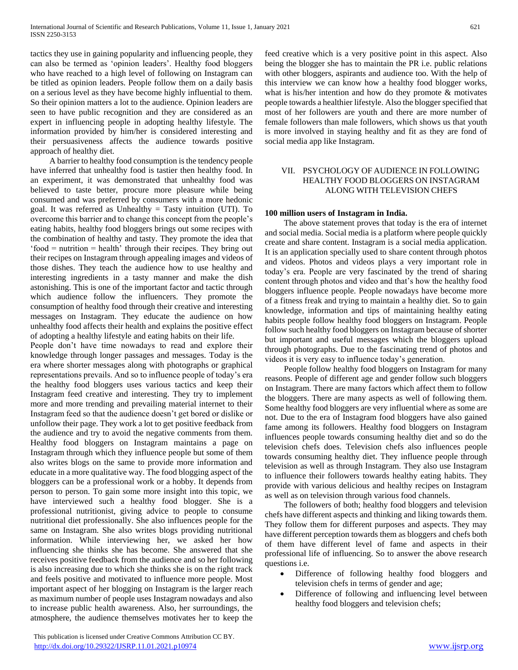tactics they use in gaining popularity and influencing people, they can also be termed as 'opinion leaders'. Healthy food bloggers who have reached to a high level of following on Instagram can be titled as opinion leaders. People follow them on a daily basis on a serious level as they have become highly influential to them. So their opinion matters a lot to the audience. Opinion leaders are seen to have public recognition and they are considered as an expert in influencing people in adopting healthy lifestyle. The information provided by him/her is considered interesting and their persuasiveness affects the audience towards positive approach of healthy diet.

 A barrier to healthy food consumption is the tendency people have inferred that unhealthy food is tastier then healthy food. In an experiment, it was demonstrated that unhealthy food was believed to taste better, procure more pleasure while being consumed and was preferred by consumers with a more hedonic goal. It was referred as Unhealthy  $=$  Tasty intuition (UTI). To overcome this barrier and to change this concept from the people's eating habits, healthy food bloggers brings out some recipes with the combination of healthy and tasty. They promote the idea that 'food = nutrition = health' through their recipes. They bring out their recipes on Instagram through appealing images and videos of those dishes. They teach the audience how to use healthy and interesting ingredients in a tasty manner and make the dish astonishing. This is one of the important factor and tactic through which audience follow the influencers. They promote the consumption of healthy food through their creative and interesting messages on Instagram. They educate the audience on how unhealthy food affects their health and explains the positive effect of adopting a healthy lifestyle and eating habits on their life.

People don't have time nowadays to read and explore their knowledge through longer passages and messages. Today is the era where shorter messages along with photographs or graphical representations prevails. And so to influence people of today's era the healthy food bloggers uses various tactics and keep their Instagram feed creative and interesting. They try to implement more and more trending and prevailing material internet to their Instagram feed so that the audience doesn't get bored or dislike or unfollow their page. They work a lot to get positive feedback from the audience and try to avoid the negative comments from them. Healthy food bloggers on Instagram maintains a page on Instagram through which they influence people but some of them also writes blogs on the same to provide more information and educate in a more qualitative way. The food blogging aspect of the bloggers can be a professional work or a hobby. It depends from person to person. To gain some more insight into this topic, we have interviewed such a healthy food blogger. She is a professional nutritionist, giving advice to people to consume nutritional diet professionally. She also influences people for the same on Instagram. She also writes blogs providing nutritional information. While interviewing her, we asked her how influencing she thinks she has become. She answered that she receives positive feedback from the audience and so her following is also increasing due to which she thinks she is on the right track and feels positive and motivated to influence more people. Most important aspect of her blogging on Instagram is the larger reach as maximum number of people uses Instagram nowadays and also to increase public health awareness. Also, her surroundings, the atmosphere, the audience themselves motivates her to keep the feed creative which is a very positive point in this aspect. Also being the blogger she has to maintain the PR i.e. public relations with other bloggers, aspirants and audience too. With the help of this interview we can know how a healthy food blogger works, what is his/her intention and how do they promote & motivates people towards a healthier lifestyle. Also the blogger specified that most of her followers are youth and there are more number of female followers than male followers, which shows us that youth is more involved in staying healthy and fit as they are fond of social media app like Instagram.

#### VII. PSYCHOLOGY OF AUDIENCE IN FOLLOWING HEALTHY FOOD BLOGGERS ON INSTAGRAM ALONG WITH TELEVISION CHEFS

#### **100 million users of Instagram in India.**

 The above statement proves that today is the era of internet and social media. Social media is a platform where people quickly create and share content. Instagram is a social media application. It is an application specially used to share content through photos and videos. Photos and videos plays a very important role in today's era. People are very fascinated by the trend of sharing content through photos and video and that's how the healthy food bloggers influence people. People nowadays have become more of a fitness freak and trying to maintain a healthy diet. So to gain knowledge, information and tips of maintaining healthy eating habits people follow healthy food bloggers on Instagram. People follow such healthy food bloggers on Instagram because of shorter but important and useful messages which the bloggers upload through photographs. Due to the fascinating trend of photos and videos it is very easy to influence today's generation.

 People follow healthy food bloggers on Instagram for many reasons. People of different age and gender follow such bloggers on Instagram. There are many factors which affect them to follow the bloggers. There are many aspects as well of following them. Some healthy food bloggers are very influential where as some are not. Due to the era of Instagram food bloggers have also gained fame among its followers. Healthy food bloggers on Instagram influences people towards consuming healthy diet and so do the television chefs does. Television chefs also influences people towards consuming healthy diet. They influence people through television as well as through Instagram. They also use Instagram to influence their followers towards healthy eating habits. They provide with various delicious and healthy recipes on Instagram as well as on television through various food channels.

 The followers of both; healthy food bloggers and television chefs have different aspects and thinking and liking towards them. They follow them for different purposes and aspects. They may have different perception towards them as bloggers and chefs both of them have different level of fame and aspects in their professional life of influencing. So to answer the above research questions i.e.

- Difference of following healthy food bloggers and television chefs in terms of gender and age;
- Difference of following and influencing level between healthy food bloggers and television chefs;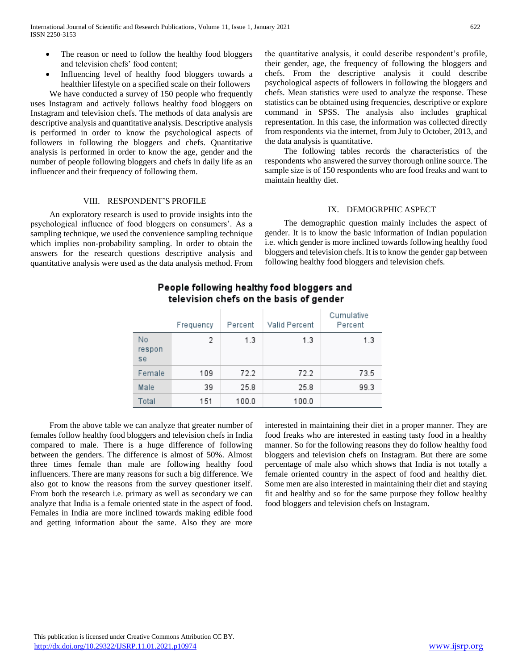- The reason or need to follow the healthy food bloggers and television chefs' food content;
- Influencing level of healthy food bloggers towards a healthier lifestyle on a specified scale on their followers

 We have conducted a survey of 150 people who frequently uses Instagram and actively follows healthy food bloggers on Instagram and television chefs. The methods of data analysis are descriptive analysis and quantitative analysis. Descriptive analysis is performed in order to know the psychological aspects of followers in following the bloggers and chefs. Quantitative analysis is performed in order to know the age, gender and the number of people following bloggers and chefs in daily life as an influencer and their frequency of following them.

#### VIII. RESPONDENT'S PROFILE

 An exploratory research is used to provide insights into the psychological influence of food bloggers on consumers'. As a sampling technique, we used the convenience sampling technique which implies non-probability sampling. In order to obtain the answers for the research questions descriptive analysis and quantitative analysis were used as the data analysis method. From the quantitative analysis, it could describe respondent's profile, their gender, age, the frequency of following the bloggers and chefs. From the descriptive analysis it could describe psychological aspects of followers in following the bloggers and chefs. Mean statistics were used to analyze the response. These statistics can be obtained using frequencies, descriptive or explore command in SPSS. The analysis also includes graphical representation. In this case, the information was collected directly from respondents via the internet, from July to October, 2013, and the data analysis is quantitative.

 The following tables records the characteristics of the respondents who answered the survey thorough online source. The sample size is of 150 respondents who are food freaks and want to maintain healthy diet.

#### IX. DEMOGRPHIC ASPECT

 The demographic question mainly includes the aspect of gender. It is to know the basic information of Indian population i.e. which gender is more inclined towards following healthy food bloggers and television chefs. It is to know the gender gap between following healthy food bloggers and television chefs.

|                    | Frequency | Percent | Valid Percent | Cumulative<br>Percent |
|--------------------|-----------|---------|---------------|-----------------------|
| No<br>respon<br>se | 2         | 1.3     | 1.3           | 1.3                   |
| Female             | 109       | 72.2    | 72.2          | 73.5                  |
| Male               | 39        | 25.8    | 25.8          | 99.3                  |
| Total              | 151       | 100.0   | 100.0         |                       |

## People following healthy food bloggers and television chefs on the basis of gender

 From the above table we can analyze that greater number of females follow healthy food bloggers and television chefs in India compared to male. There is a huge difference of following between the genders. The difference is almost of 50%. Almost three times female than male are following healthy food influencers. There are many reasons for such a big difference. We also got to know the reasons from the survey questioner itself. From both the research i.e. primary as well as secondary we can analyze that India is a female oriented state in the aspect of food. Females in India are more inclined towards making edible food and getting information about the same. Also they are more

interested in maintaining their diet in a proper manner. They are food freaks who are interested in easting tasty food in a healthy manner. So for the following reasons they do follow healthy food bloggers and television chefs on Instagram. But there are some percentage of male also which shows that India is not totally a female oriented country in the aspect of food and healthy diet. Some men are also interested in maintaining their diet and staying fit and healthy and so for the same purpose they follow healthy food bloggers and television chefs on Instagram.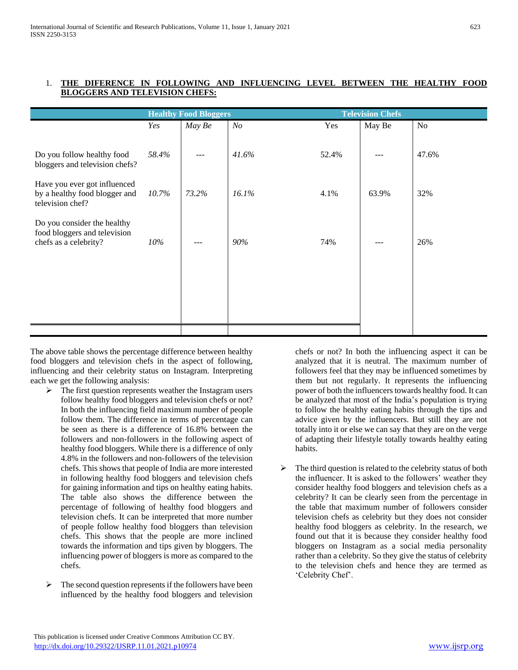|                                                                                      | <b>Healthy Food Bloggers</b> |        |                | <b>Television Chefs</b> |        |       |
|--------------------------------------------------------------------------------------|------------------------------|--------|----------------|-------------------------|--------|-------|
|                                                                                      | Yes                          | May Be | N <sub>O</sub> | Yes                     | May Be | No    |
| Do you follow healthy food<br>bloggers and television chefs?                         | 58.4%                        | $---$  | 41.6%          | 52.4%                   |        | 47.6% |
| Have you ever got influenced<br>by a healthy food blogger and<br>television chef?    | 10.7%                        | 73.2%  | 16.1%          | 4.1%                    | 63.9%  | 32%   |
| Do you consider the healthy<br>food bloggers and television<br>chefs as a celebrity? | $10\%$                       |        | 90%            | 74%                     |        | 26%   |
|                                                                                      |                              |        |                |                         |        |       |
|                                                                                      |                              |        |                |                         |        |       |

### 1. **THE DIFERENCE IN FOLLOWING AND INFLUENCING LEVEL BETWEEN THE HEALTHY FOOD BLOGGERS AND TELEVISION CHEFS:**

The above table shows the percentage difference between healthy food bloggers and television chefs in the aspect of following, influencing and their celebrity status on Instagram. Interpreting each we get the following analysis:

- $\triangleright$  The first question represents weather the Instagram users follow healthy food bloggers and television chefs or not? In both the influencing field maximum number of people follow them. The difference in terms of percentage can be seen as there is a difference of 16.8% between the followers and non-followers in the following aspect of healthy food bloggers. While there is a difference of only 4.8% in the followers and non-followers of the television chefs. This shows that people of India are more interested in following healthy food bloggers and television chefs for gaining information and tips on healthy eating habits. The table also shows the difference between the percentage of following of healthy food bloggers and television chefs. It can be interpreted that more number of people follow healthy food bloggers than television chefs. This shows that the people are more inclined towards the information and tips given by bloggers. The influencing power of bloggers is more as compared to the chefs.
- $\triangleright$  The second question represents if the followers have been influenced by the healthy food bloggers and television

chefs or not? In both the influencing aspect it can be analyzed that it is neutral. The maximum number of followers feel that they may be influenced sometimes by them but not regularly. It represents the influencing power of both the influencers towards healthy food. It can be analyzed that most of the India's population is trying to follow the healthy eating habits through the tips and advice given by the influencers. But still they are not totally into it or else we can say that they are on the verge of adapting their lifestyle totally towards healthy eating habits.

 The third question is related to the celebrity status of both the influencer. It is asked to the followers' weather they consider healthy food bloggers and television chefs as a celebrity? It can be clearly seen from the percentage in the table that maximum number of followers consider television chefs as celebrity but they does not consider healthy food bloggers as celebrity. In the research, we found out that it is because they consider healthy food bloggers on Instagram as a social media personality rather than a celebrity. So they give the status of celebrity to the television chefs and hence they are termed as 'Celebrity Chef'.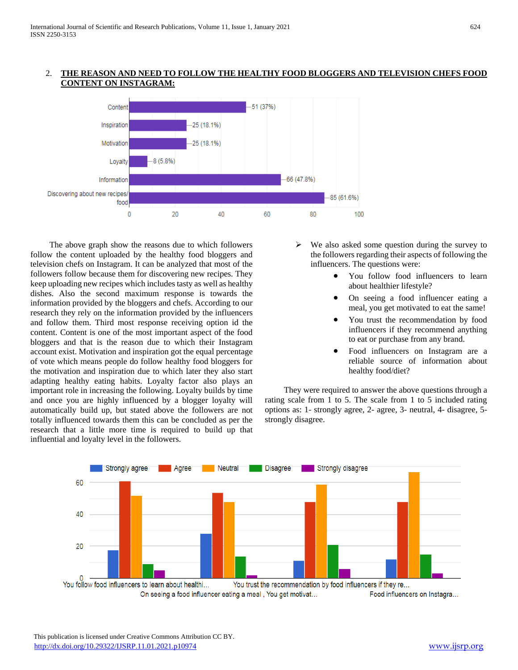#### 2. **THE REASON AND NEED TO FOLLOW THE HEALTHY FOOD BLOGGERS AND TELEVISION CHEFS FOOD CONTENT ON INSTAGRAM:**



 The above graph show the reasons due to which followers follow the content uploaded by the healthy food bloggers and television chefs on Instagram. It can be analyzed that most of the followers follow because them for discovering new recipes. They keep uploading new recipes which includes tasty as well as healthy dishes. Also the second maximum response is towards the information provided by the bloggers and chefs. According to our research they rely on the information provided by the influencers and follow them. Third most response receiving option id the content. Content is one of the most important aspect of the food bloggers and that is the reason due to which their Instagram account exist. Motivation and inspiration got the equal percentage of vote which means people do follow healthy food bloggers for the motivation and inspiration due to which later they also start adapting healthy eating habits. Loyalty factor also plays an important role in increasing the following. Loyalty builds by time and once you are highly influenced by a blogger loyalty will automatically build up, but stated above the followers are not totally influenced towards them this can be concluded as per the research that a little more time is required to build up that influential and loyalty level in the followers.

- $\triangleright$  We also asked some question during the survey to the followers regarding their aspects of following the influencers. The questions were:
	- You follow food influencers to learn about healthier lifestyle?
	- On seeing a food influencer eating a meal, you get motivated to eat the same!
	- You trust the recommendation by food influencers if they recommend anything to eat or purchase from any brand.
	- Food influencers on Instagram are a reliable source of information about healthy food/diet?

 They were required to answer the above questions through a rating scale from 1 to 5. The scale from 1 to 5 included rating options as: 1- strongly agree, 2- agree, 3- neutral, 4- disagree, 5 strongly disagree.

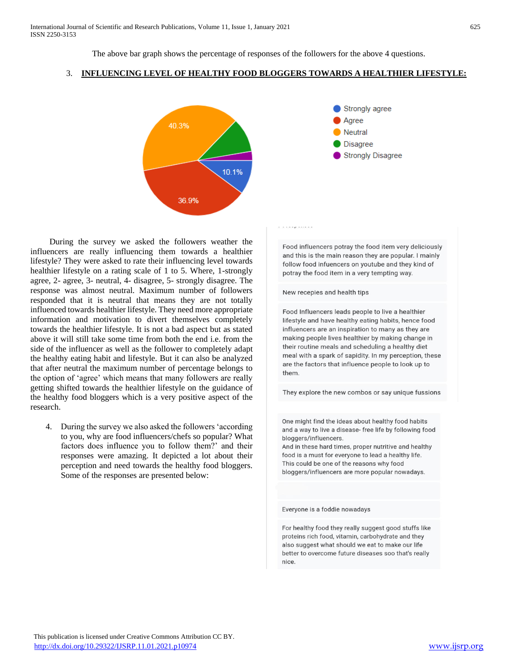The above bar graph shows the percentage of responses of the followers for the above 4 questions.

#### 3. **INFLUENCING LEVEL OF HEALTHY FOOD BLOGGERS TOWARDS A HEALTHIER LIFESTYLE:**



 During the survey we asked the followers weather the influencers are really influencing them towards a healthier lifestyle? They were asked to rate their influencing level towards healthier lifestyle on a rating scale of 1 to 5. Where, 1-strongly agree, 2- agree, 3- neutral, 4- disagree, 5- strongly disagree. The response was almost neutral. Maximum number of followers responded that it is neutral that means they are not totally influenced towards healthier lifestyle. They need more appropriate information and motivation to divert themselves completely towards the healthier lifestyle. It is not a bad aspect but as stated above it will still take some time from both the end i.e. from the side of the influencer as well as the follower to completely adapt the healthy eating habit and lifestyle. But it can also be analyzed that after neutral the maximum number of percentage belongs to the option of 'agree' which means that many followers are really getting shifted towards the healthier lifestyle on the guidance of the healthy food bloggers which is a very positive aspect of the research.

4. During the survey we also asked the followers 'according to you, why are food influencers/chefs so popular? What factors does influence you to follow them?' and their responses were amazing. It depicted a lot about their perception and need towards the healthy food bloggers. Some of the responses are presented below:



Food influencers potray the food item very deliciously and this is the main reason they are popular. I mainly follow food infuencers on youtube and they kind of potray the food item in a very tempting way.

New recepies and health tips

Food Influencers leads people to live a healthier lifestyle and have healthy eating habits, hence food influencers are an inspiration to many as they are making people lives healthier by making change in their routine meals and scheduling a healthy diet meal with a spark of sapidity. In my perception, these are the factors that influence people to look up to them.

They explore the new combos or say unique fussions

One might find the ideas about healthy food habits and a way to live a disease- free life by following food bloggers/influencers.

And in these hard times, proper nutritive and healthy food is a must for everyone to lead a healthy life. This could be one of the reasons why food bloggers/influencers are more popular nowadays.

Everyone is a foddie nowadays

For healthy food they really suggest good stuffs like proteins rich food, vitamin, carbohydrate and they also suggest what should we eat to make our life better to overcome future diseases soo that's really nice.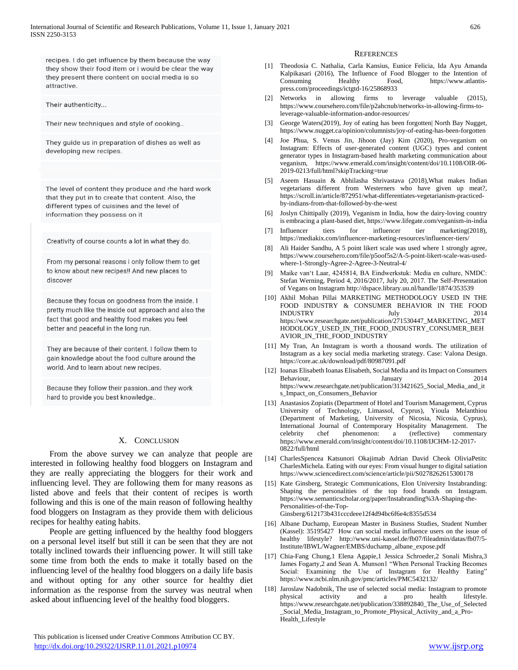recipes. I do get influence by them because the way they show their food item or i would be clear the way they present there content on social media is so attractive.

Their authenticity...

Their new techniques and style of cooking..

They guide us in preparation of dishes as well as developing new recipes.

The level of content they produce and rhe hard work that they put in to create that content. Also, the different types of cuisines and the level of information they possess on it

Creativity of course counts a lot in what they do.

From my personal reasons i only follow them to get to know about new recipes!! And new places to discover

Because they focus on goodness from the inside. I pretty much like the inside out approach and also the fact that good and healthy food makes you feel better and peaceful in the long run.

They are because of their content. I follow them to gain knowledge about the food culture around the world. And to learn about new recipes.

Because they follow their passion..and they work hard to provide you best knowledge..

#### X. CONCLUSION

 From the above survey we can analyze that people are interested in following healthy food bloggers on Instagram and they are really appreciating the bloggers for their work and influencing level. They are following them for many reasons as listed above and feels that their content of recipes is worth following and this is one of the main reason of following healthy food bloggers on Instagram as they provide them with delicious recipes for healthy eating habits.

 People are getting influenced by the healthy food bloggers on a personal level itself but still it can be seen that they are not totally inclined towards their influencing power. It will still take some time from both the ends to make it totally based on the influencing level of the healthy food bloggers on a daily life basis and without opting for any other source for healthy diet information as the response from the survey was neutral when asked about influencing level of the healthy food bloggers.

#### **REFERENCES**

- [1] Theodosia C. Nathalia, Carla Kansius, Eunice Felicia, Ida Ayu Amanda Kalpikasari (2016), The Influence of Food Blogger to the Intention of Consuming Healthy Food, https://www.atlantispress.com/proceedings/ictgtd-16/25868933
- [2] Networks in allowing firms to leverage valuable (2015), https://www.coursehero.com/file/p2ahcnub/networks-in-allowing-firms-toleverage-valuable-information-andor-resources/
- [3] George Waters(2019), Joy of eating has been forgotten| North Bay Nugget, https://www.nugget.ca/opinion/columnists/joy-of-eating-has-been-forgotten
- [4] Joe Phua, S. Venus Jin, Jihoon (Jay) Kim (2020), Pro-veganism on Instagram: Effects of user-generated content (UGC) types and content generator types in Instagram-based health marketing communication about veganism, https://www.emerald.com/insight/content/doi/10.1108/OIR-06- 2019-0213/full/html?skipTracking=true
- [5] Aseem Hasuain & Abhilasha Shrivastava (2018),What makes Indian vegetarians different from Westerners who have given up meat?, https://scroll.in/article/872951/what-differentiates-vegetarianism-practicedby-indians-from-that-followed-by-the-west
- [6] Joslyn Chittipally (2019), Veganism in India, how the dairy-loving country is embracing a plant-based diet, https://www.lifegate.com/veganism-in-india
- [7] Influencer tiers for influencer tier marketing(2018), https://mediakix.com/influencer-marketing-resources/influencer-tiers/
- [8] Ali Haider Sandhu, A 5 point likert scale was used where 1 strongly agree, https://www.coursehero.com/file/p5oof5s2/A-5-point-likert-scale-was-usedwhere-1-Strongly-Agree-2-Agree-3-Neutral-4/
- [9] Maike van't Laar, 4245814, BA Eindwerkstuk: Media en culture, NMDC: Stefan Werning, Period 4, 2016/2017, July 20, 2017. The Self-Presentation of Vegans on Instagram http://dspace.library.uu.nl/handle/1874/353539
- [10] Akhil Mohan Pillai MARKETING METHODOLOGY USED IN THE FOOD INDUSTRY & CONSUMER BEHAVIOR IN THE FOOD INDUSTRY July 2014 https://www.researchgate.net/publication/271530447\_MARKETING\_MET HODOLOGY\_USED\_IN\_THE\_FOOD\_INDUSTRY\_CONSUMER\_BEH AVIOR\_IN\_THE\_FOOD\_INDUSTRY
- [11] My Tran, An Instagram is worth a thousand words. The utilization of Instagram as a key social media marketing strategy. Case: Valona Design. https://core.ac.uk/download/pdf/80987091.pdf
- [12] Ioanas Elisabeth Ioanas Elisabeth, Social Media and its Impact on Consumers Behaviour, January January 2014 https://www.researchgate.net/publication/313421625\_Social\_Media\_and\_it s\_Impact\_on\_Consumers\_Behavior
- [13] Anastasios Zopiatis (Department of Hotel and Tourism Management, Cyprus University of Technology, Limassol, Cyprus), Yioula Melanthiou (Department of Marketing, University of Nicosia, Nicosia, Cyprus), International Journal of Contemporary Hospitality Management. The celebrity chef phenomenon: a (reflective) commentary https://www.emerald.com/insight/content/doi/10.1108/IJCHM-12-2017- 0822/full/html
- [14] CharlesSpencea Katsunori Okajimab Adrian David Cheok OliviaPetitc CharlesMichela. Eating with our eyes: From visual hunger to digital satiation https://www.sciencedirect.com/science/article/pii/S0278262615300178
- [15] Kate Ginsberg, Strategic Communications, Elon University Instabranding: Shaping the personalities of the top food brands on Instagram. https://www.semanticscholar.org/paper/Instabranding%3A-Shaping-the-Personalities-of-the-Top-
	- Ginsberg/612173b431cccdeee12f4d94bc6f6e4c8355d534
- [16] Albane Duchamp, European Master in Business Studies, Student Number (Kassel): 35195427 How can social media influence users on the issue of healthy lifestyle? http://www.uni-kassel.de/fb07/fileadmin/datas/fb07/5- Institute/IBWL/Wagner/EMBS/duchamp\_albane\_expose.pdf
- [17] Chia-Fang Chung,1 Elena Agapie,1 Jessica Schroeder,2 Sonali Mishra,3 James Fogarty,2 and Sean A. Munson1 "When Personal Tracking Becomes Social: Examining the Use of Instagram for Healthy Eating" https://www.ncbi.nlm.nih.gov/pmc/articles/PMC5432132/
- [18] Jaroslaw Nadobnik, The use of selected social media: Instagram to promote physical activity and a pro health lifestyle. https://www.researchgate.net/publication/338892840\_The\_Use\_of\_Selected \_Social\_Media\_Instagram\_to\_Promote\_Physical\_Activity\_and\_a\_Pro-Health\_Lifestyle